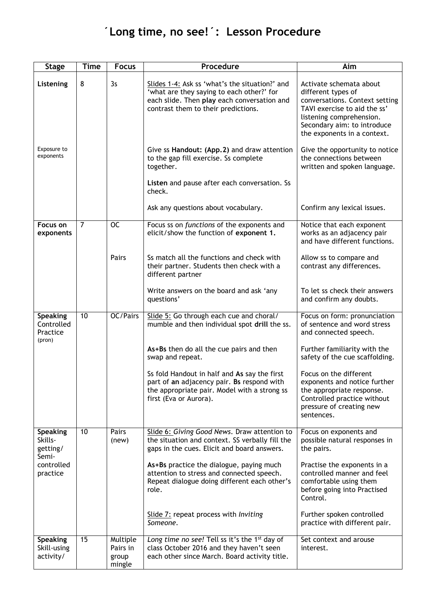## **´Long time, no see!´: Lesson Procedure**

| <b>Stage</b>                                        | <b>Time</b>     | <b>Focus</b>                            | Procedure                                                                                                                                                                         | Aim                                                                                                                                                                                                       |
|-----------------------------------------------------|-----------------|-----------------------------------------|-----------------------------------------------------------------------------------------------------------------------------------------------------------------------------------|-----------------------------------------------------------------------------------------------------------------------------------------------------------------------------------------------------------|
| Listening                                           | 8               | 3s                                      | Slides 1-4: Ask ss 'what's the situation?' and<br>'what are they saying to each other?' for<br>each slide. Then play each conversation and<br>contrast them to their predictions. | Activate schemata about<br>different types of<br>conversations. Context setting<br>TAVI exercise to aid the ss'<br>listening comprehension.<br>Secondary aim: to introduce<br>the exponents in a context. |
| Exposure to<br>exponents                            |                 |                                         | Give ss Handout: (App.2) and draw attention<br>to the gap fill exercise. Ss complete<br>together.<br>Listen and pause after each conversation. Ss<br>check.                       | Give the opportunity to notice<br>the connections between<br>written and spoken language.                                                                                                                 |
|                                                     |                 |                                         | Ask any questions about vocabulary.                                                                                                                                               | Confirm any lexical issues.                                                                                                                                                                               |
| <b>Focus on</b><br>exponents                        | $\overline{7}$  | $\overline{OC}$                         | Focus ss on functions of the exponents and<br>elicit/show the function of exponent 1.                                                                                             | Notice that each exponent<br>works as an adjacency pair<br>and have different functions.                                                                                                                  |
|                                                     |                 | Pairs                                   | Ss match all the functions and check with<br>their partner. Students then check with a<br>different partner                                                                       | Allow ss to compare and<br>contrast any differences.                                                                                                                                                      |
|                                                     |                 |                                         | Write answers on the board and ask 'any<br>questions'                                                                                                                             | To let ss check their answers<br>and confirm any doubts.                                                                                                                                                  |
| <b>Speaking</b><br>Controlled<br>Practice<br>(pron) | $\overline{10}$ | OC/Pairs                                | Slide 5: Go through each cue and choral/<br>mumble and then individual spot drill the ss.                                                                                         | Focus on form: pronunciation<br>of sentence and word stress<br>and connected speech.                                                                                                                      |
|                                                     |                 |                                         | As+Bs then do all the cue pairs and then<br>swap and repeat.                                                                                                                      | Further familiarity with the<br>safety of the cue scaffolding.                                                                                                                                            |
|                                                     |                 |                                         | Ss fold Handout in half and As say the first<br>part of an adjacency pair. Bs respond with<br>the appropriate pair. Model with a strong ss<br>first (Eva or Aurora).              | Focus on the different<br>exponents and notice further<br>the appropriate response.<br>Controlled practice without<br>pressure of creating new<br>sentences.                                              |
| <b>Speaking</b><br>Skills-<br>getting/<br>Semi-     | 10              | Pairs<br>(new)                          | Slide 6: Giving Good News. Draw attention to<br>the situation and context. SS verbally fill the<br>gaps in the cues. Elicit and board answers.                                    | Focus on exponents and<br>possible natural responses in<br>the pairs.                                                                                                                                     |
| controlled<br>practice                              |                 |                                         | As+Bs practice the dialogue, paying much<br>attention to stress and connected speech.<br>Repeat dialogue doing different each other's<br>role.                                    | Practise the exponents in a<br>controlled manner and feel<br>comfortable using them<br>before going into Practised<br>Control.                                                                            |
|                                                     |                 |                                         | Slide 7: repeat process with Inviting<br>Someone.                                                                                                                                 | Further spoken controlled<br>practice with different pair.                                                                                                                                                |
| <b>Speaking</b><br>Skill-using<br>activity/         | 15              | Multiple<br>Pairs in<br>group<br>mingle | Long time no see! Tell ss it's the 1 <sup>st</sup> day of<br>class October 2016 and they haven't seen<br>each other since March. Board activity title.                            | Set context and arouse<br>interest.                                                                                                                                                                       |